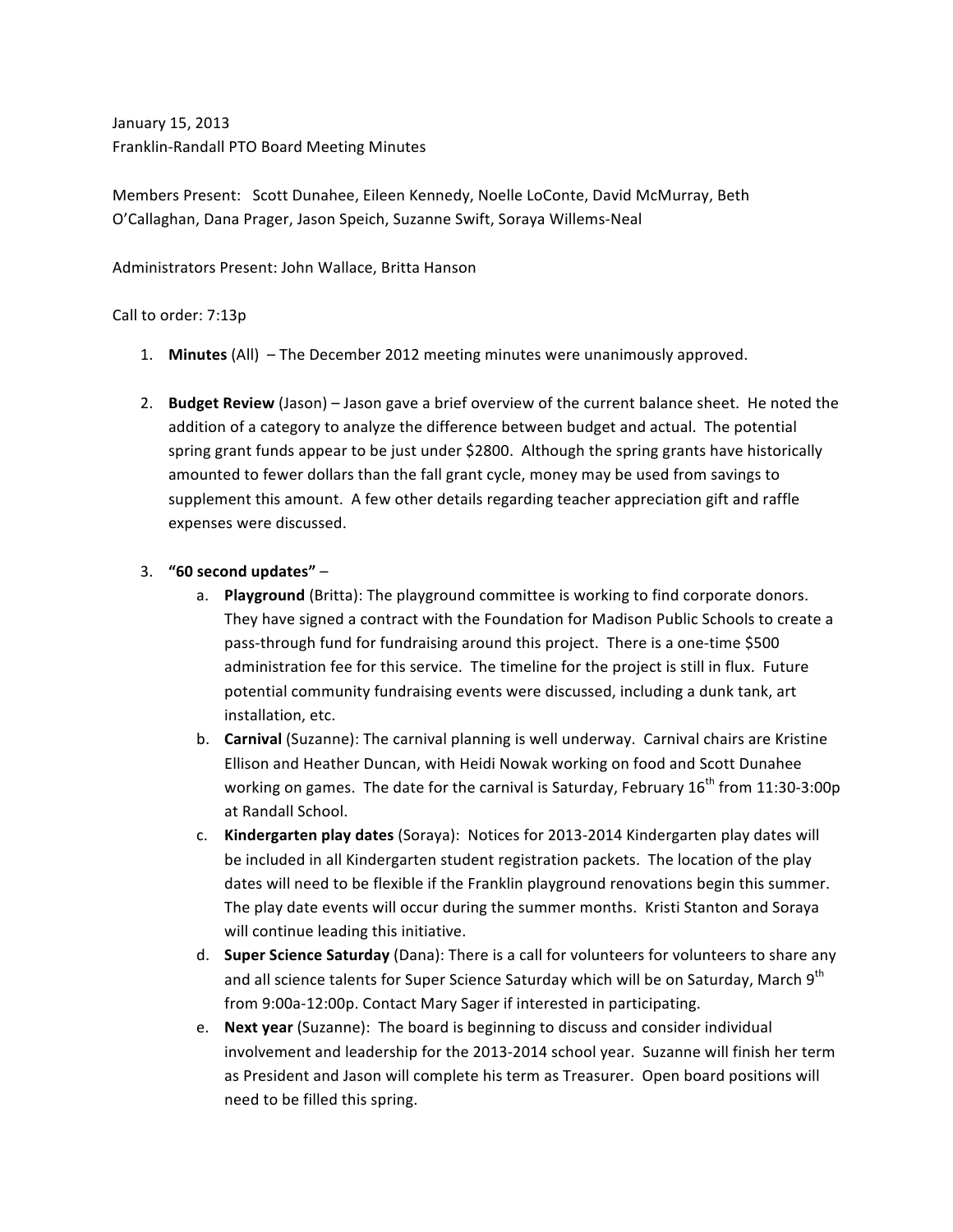January 15, 2013 Franklin-Randall PTO Board Meeting Minutes

Members Present: Scott Dunahee, Eileen Kennedy, Noelle LoConte, David McMurray, Beth O'Callaghan, Dana Prager, Jason Speich, Suzanne Swift, Soraya Willems-Neal

Administrators Present: John Wallace, Britta Hanson

## Call to order: 7:13p

- 1. Minutes (All) The December 2012 meeting minutes were unanimously approved.
- 2. **Budget Review** (Jason) Jason gave a brief overview of the current balance sheet. He noted the addition of a category to analyze the difference between budget and actual. The potential spring grant funds appear to be just under \$2800. Although the spring grants have historically amounted to fewer dollars than the fall grant cycle, money may be used from savings to supplement this amount. A few other details regarding teacher appreciation gift and raffle expenses were discussed.

## 3. **"60 second updates"** –

- a. **Playground** (Britta): The playground committee is working to find corporate donors. They have signed a contract with the Foundation for Madison Public Schools to create a pass-through fund for fundraising around this project. There is a one-time \$500 administration fee for this service. The timeline for the project is still in flux. Future potential community fundraising events were discussed, including a dunk tank, art installation, etc.
- b. **Carnival** (Suzanne): The carnival planning is well underway. Carnival chairs are Kristine Ellison and Heather Duncan, with Heidi Nowak working on food and Scott Dunahee working on games. The date for the carnival is Saturday, February  $16^{th}$  from  $11:30-3:00p$ at Randall School.
- c. **Kindergarten play dates** (Soraya): Notices for 2013-2014 Kindergarten play dates will be included in all Kindergarten student registration packets. The location of the play dates will need to be flexible if the Franklin playground renovations begin this summer. The play date events will occur during the summer months. Kristi Stanton and Soraya will continue leading this initiative.
- d. **Super Science Saturday** (Dana): There is a call for volunteers for volunteers to share any and all science talents for Super Science Saturday which will be on Saturday, March 9th from 9:00a-12:00p. Contact Mary Sager if interested in participating.
- e. **Next year** (Suzanne): The board is beginning to discuss and consider individual involvement and leadership for the 2013-2014 school year. Suzanne will finish her term as President and Jason will complete his term as Treasurer. Open board positions will need to be filled this spring.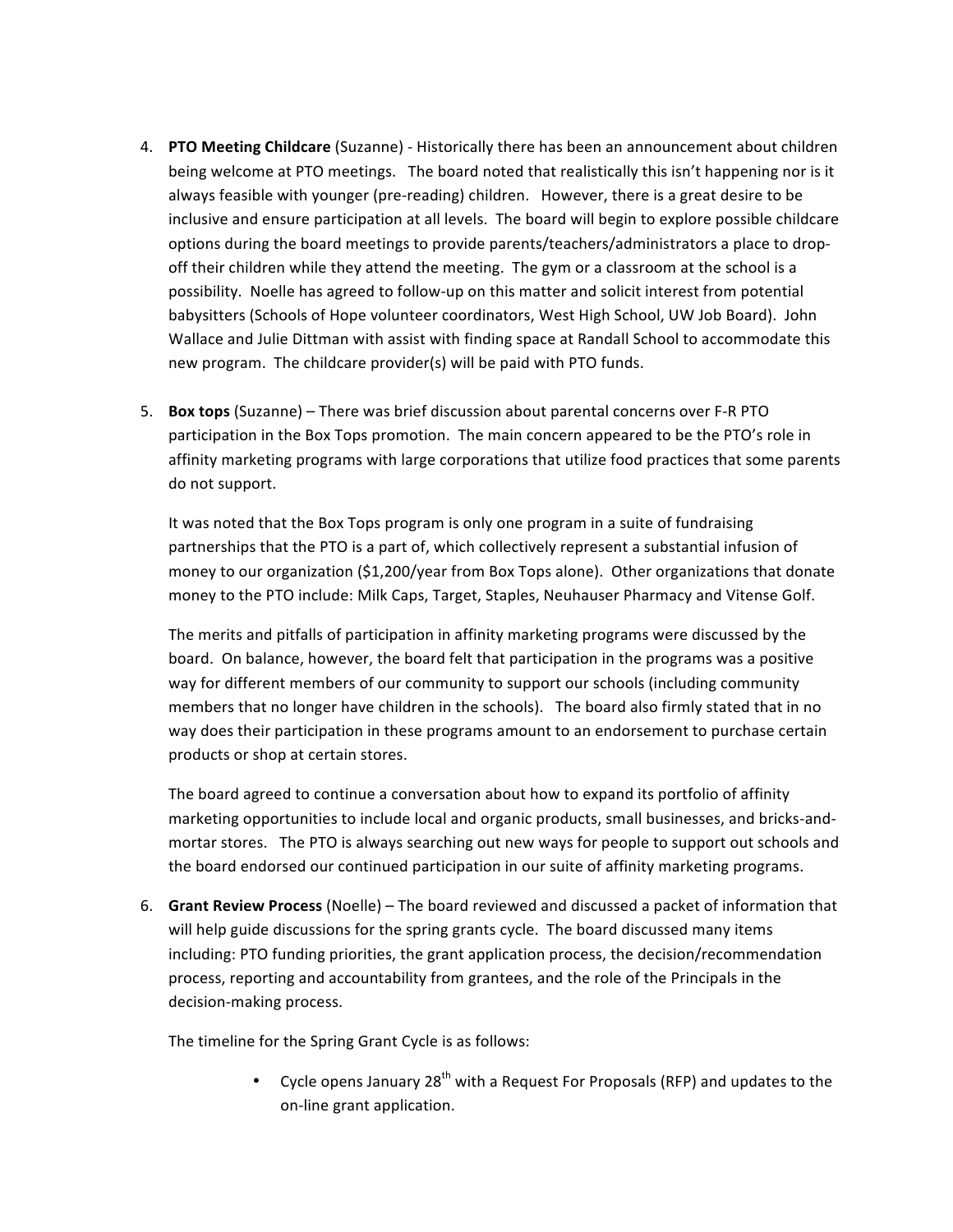- 4. **PTO Meeting Childcare** (Suzanne) Historically there has been an announcement about children being welcome at PTO meetings. The board noted that realistically this isn't happening nor is it always feasible with younger (pre-reading) children. However, there is a great desire to be inclusive and ensure participation at all levels. The board will begin to explore possible childcare options during the board meetings to provide parents/teachers/administrators a place to dropoff their children while they attend the meeting. The gym or a classroom at the school is a possibility. Noelle has agreed to follow-up on this matter and solicit interest from potential babysitters (Schools of Hope volunteer coordinators, West High School, UW Job Board). John Wallace and Julie Dittman with assist with finding space at Randall School to accommodate this new program. The childcare provider(s) will be paid with PTO funds.
- 5. **Box tops** (Suzanne) There was brief discussion about parental concerns over F-R PTO participation in the Box Tops promotion. The main concern appeared to be the PTO's role in affinity marketing programs with large corporations that utilize food practices that some parents do not support.

It was noted that the Box Tops program is only one program in a suite of fundraising partnerships that the PTO is a part of, which collectively represent a substantial infusion of money to our organization (\$1,200/year from Box Tops alone). Other organizations that donate money to the PTO include: Milk Caps, Target, Staples, Neuhauser Pharmacy and Vitense Golf.

The merits and pitfalls of participation in affinity marketing programs were discussed by the board. On balance, however, the board felt that participation in the programs was a positive way for different members of our community to support our schools (including community members that no longer have children in the schools). The board also firmly stated that in no way does their participation in these programs amount to an endorsement to purchase certain products or shop at certain stores.

The board agreed to continue a conversation about how to expand its portfolio of affinity marketing opportunities to include local and organic products, small businesses, and bricks-andmortar stores. The PTO is always searching out new ways for people to support out schools and the board endorsed our continued participation in our suite of affinity marketing programs.

6. Grant Review Process (Noelle) – The board reviewed and discussed a packet of information that will help guide discussions for the spring grants cycle. The board discussed many items including: PTO funding priorities, the grant application process, the decision/recommendation process, reporting and accountability from grantees, and the role of the Principals in the decision-making process.

The timeline for the Spring Grant Cycle is as follows:

• Cycle opens January  $28^{th}$  with a Request For Proposals (RFP) and updates to the on-line grant application.